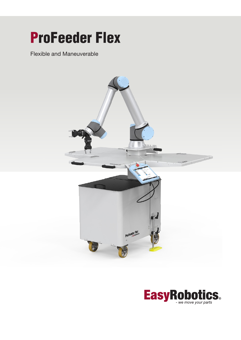## ProFeeder Flex

Flexible and Maneuverable



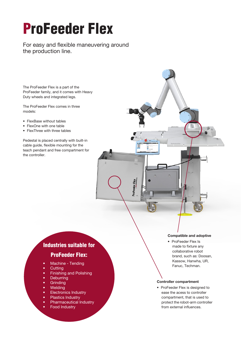# ProFeeder Flex

For easy and flexible maneuvering around the production line.

The ProFeeder Flex is a part of the ProFeeder family, and it comes with Heavy Duty wheels and integrated legs.

The ProFeeder Flex comes in three models:

- FlexBase without tables
- FlexOne with one table
- FlexThree with three tables

Pedestal is placed centrally with built-in cable guide, flexible mounting for the teach pendant and free compartment for the controller.

### Industries suitable for

## ProFeeder Flex:

- Machine Tending
- Cutting
- Finishing and Polishing
- Deburring
- Grinding
- Welding
- Electronics Industry
- Plastics Industry
- Pharmaceutical Industry
- Food Industry

#### Compatible and adoptive

• ProFeeder Flex Is made to fixture any collaborative robot brand, such as: Doosan, Kassow, Hanwha, UR, Fanuc, Techman.

#### Controller compartment

• ProFeeder Flex is designed to ease the acess to controller compartment, that is used to protect the robot-arm controller from external influences.